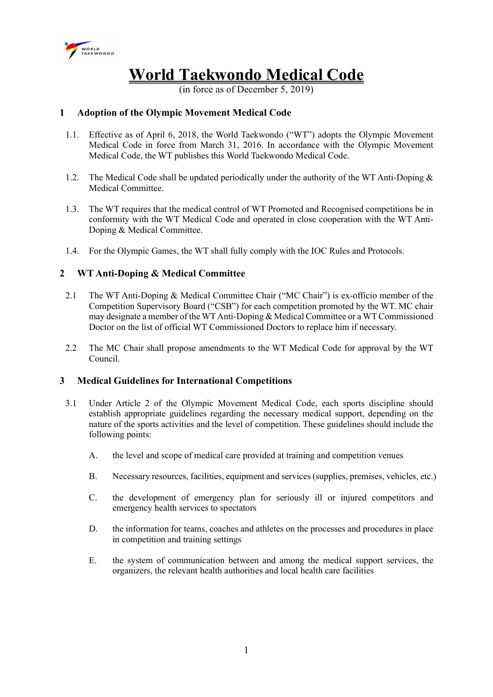

# World Taekwondo Medical Code

(in force as of December 5, 2019)

# 1 Adoption of the Olympic Movement Medical Code

- 1.1. Effective as of April 6, 2018, the World Taekwondo ("WT") adopts the Olympic Movement Medical Code in force from March 31, 2016. In accordance with the Olympic Movement Medical Code, the WT publishes this World Taekwondo Medical Code.
- 1.2. The Medical Code shall be updated periodically under the authority of the WT Anti-Doping  $\&$ Medical Committee.
- 1.3. The WT requires that the medical control of WT Promoted and Recognised competitions be in conformity with the WT Medical Code and operated in close cooperation with the WT Anti-Doping & Medical Committee.
- 1.4. For the Olympic Games, the WT shall fully comply with the IOC Rules and Protocols.

# 2 WT Anti-Doping & Medical Committee

- 2.1 The WT Anti-Doping & Medical Committee Chair ("MC Chair") is ex-officio member of the Competition Supervisory Board ("CSB") for each competition promoted by the WT. MC chair may designate a member of the WT Anti-Doping & Medical Committee or a WT Commissioned Doctor on the list of official WT Commissioned Doctors to replace him if necessary.
- 2.2 The MC Chair shall propose amendments to the WT Medical Code for approval by the WT Council.

# 3 Medical Guidelines for International Competitions

- 3.1 Under Article 2 of the Olympic Movement Medical Code, each sports discipline should establish appropriate guidelines regarding the necessary medical support, depending on the nature of the sports activities and the level of competition. These guidelines should include the following points:
	- A. the level and scope of medical care provided at training and competition venues
	- B. Necessary resources, facilities, equipment and services (supplies, premises, vehicles, etc.)
	- C. the development of emergency plan for seriously ill or injured competitors and emergency health services to spectators
	- D. the information for teams, coaches and athletes on the processes and procedures in place in competition and training settings
	- E. the system of communication between and among the medical support services, the organizers, the relevant health authorities and local health care facilities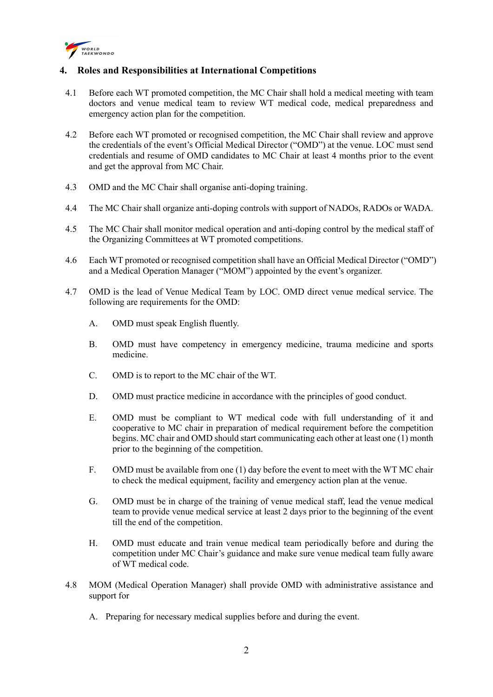

# 4. Roles and Responsibilities at International Competitions

- 4.1 Before each WT promoted competition, the MC Chair shall hold a medical meeting with team doctors and venue medical team to review WT medical code, medical preparedness and emergency action plan for the competition.
- 4.2 Before each WT promoted or recognised competition, the MC Chair shall review and approve the credentials of the event's Official Medical Director ("OMD") at the venue. LOC must send credentials and resume of OMD candidates to MC Chair at least 4 months prior to the event and get the approval from MC Chair.
- 4.3 OMD and the MC Chair shall organise anti-doping training.
- 4.4 The MC Chair shall organize anti-doping controls with support of NADOs, RADOs or WADA.
- 4.5 The MC Chair shall monitor medical operation and anti-doping control by the medical staff of the Organizing Committees at WT promoted competitions.
- 4.6 Each WT promoted or recognised competition shall have an Official Medical Director ("OMD") and a Medical Operation Manager ("MOM") appointed by the event's organizer.
- 4.7 OMD is the lead of Venue Medical Team by LOC. OMD direct venue medical service. The following are requirements for the OMD:
	- A. OMD must speak English fluently.
	- B. OMD must have competency in emergency medicine, trauma medicine and sports medicine.
	- C. OMD is to report to the MC chair of the WT.
	- D. OMD must practice medicine in accordance with the principles of good conduct.
	- E. OMD must be compliant to WT medical code with full understanding of it and cooperative to MC chair in preparation of medical requirement before the competition begins. MC chair and OMD should start communicating each other at least one (1) month prior to the beginning of the competition.
	- F. OMD must be available from one (1) day before the event to meet with the WT MC chair to check the medical equipment, facility and emergency action plan at the venue.
	- G. OMD must be in charge of the training of venue medical staff, lead the venue medical team to provide venue medical service at least 2 days prior to the beginning of the event till the end of the competition.
	- H. OMD must educate and train venue medical team periodically before and during the competition under MC Chair's guidance and make sure venue medical team fully aware of WT medical code.
- 4.8 MOM (Medical Operation Manager) shall provide OMD with administrative assistance and support for
	- A. Preparing for necessary medical supplies before and during the event.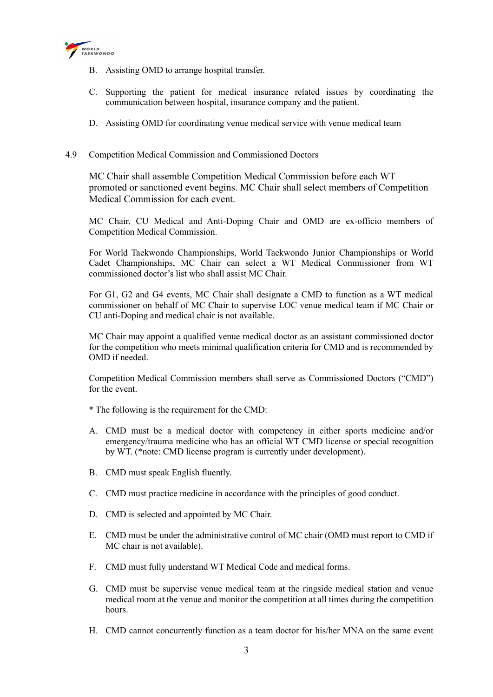

- B. Assisting OMD to arrange hospital transfer.
- C. Supporting the patient for medical insurance related issues by coordinating the communication between hospital, insurance company and the patient.
- D. Assisting OMD for coordinating venue medical service with venue medical team
- 4.9 Competition Medical Commission and Commissioned Doctors

MC Chair shall assemble Competition Medical Commission before each WT promoted or sanctioned event begins. MC Chair shall select members of Competition Medical Commission for each event.

MC Chair, CU Medical and Anti-Doping Chair and OMD are ex-officio members of Competition Medical Commission.

For World Taekwondo Championships, World Taekwondo Junior Championships or World Cadet Championships, MC Chair can select a WT Medical Commissioner from WT commissioned doctor's list who shall assist MC Chair.

For G1, G2 and G4 events, MC Chair shall designate a CMD to function as a WT medical commissioner on behalf of MC Chair to supervise LOC venue medical team if MC Chair or CU anti-Doping and medical chair is not available.

MC Chair may appoint a qualified venue medical doctor as an assistant commissioned doctor for the competition who meets minimal qualification criteria for CMD and is recommended by OMD if needed.

Competition Medical Commission members shall serve as Commissioned Doctors ("CMD") for the event.

\* The following is the requirement for the CMD:

- A. CMD must be a medical doctor with competency in either sports medicine and/or emergency/trauma medicine who has an official WT CMD license or special recognition by WT. (\*note: CMD license program is currently under development).
- B. CMD must speak English fluently.
- C. CMD must practice medicine in accordance with the principles of good conduct.
- D. CMD is selected and appointed by MC Chair.
- E. CMD must be under the administrative control of MC chair (OMD must report to CMD if MC chair is not available).
- F. CMD must fully understand WT Medical Code and medical forms.
- G. CMD must be supervise venue medical team at the ringside medical station and venue medical room at the venue and monitor the competition at all times during the competition hours.
- H. CMD cannot concurrently function as a team doctor for his/her MNA on the same event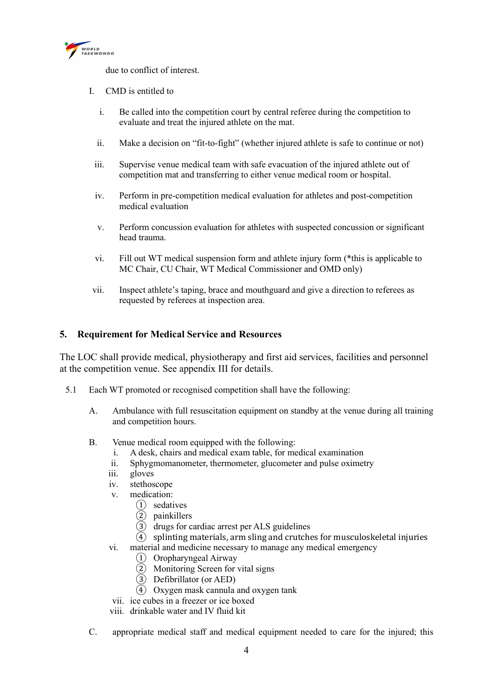

due to conflict of interest.

- I. CMD is entitled to
	- i. Be called into the competition court by central referee during the competition to evaluate and treat the injured athlete on the mat.
	- ii. Make a decision on "fit-to-fight" (whether injured athlete is safe to continue or not)
	- iii. Supervise venue medical team with safe evacuation of the injured athlete out of competition mat and transferring to either venue medical room or hospital.
	- iv. Perform in pre-competition medical evaluation for athletes and post-competition medical evaluation
	- v. Perform concussion evaluation for athletes with suspected concussion or significant head trauma.
	- vi. Fill out WT medical suspension form and athlete injury form (\*this is applicable to MC Chair, CU Chair, WT Medical Commissioner and OMD only)
- vii. Inspect athlete's taping, brace and mouthguard and give a direction to referees as requested by referees at inspection area.

# 5. Requirement for Medical Service and Resources

The LOC shall provide medical, physiotherapy and first aid services, facilities and personnel at the competition venue. See appendix III for details.

- 5.1 Each WT promoted or recognised competition shall have the following:
	- A. Ambulance with full resuscitation equipment on standby at the venue during all training and competition hours.
	- B. Venue medical room equipped with the following:
		- i. A desk, chairs and medical exam table, for medical examination
		- ii. Sphygmomanometer, thermometer, glucometer and pulse oximetry
		- iii. gloves
		- iv. stethoscope
		- v. medication:
			- ① sedatives
			- ② painkillers
			- ③ drugs for cardiac arrest per ALS guidelines
			- $\overline{4}$  splinting materials, arm sling and crutches for musculoskeletal injuries
		- vi. material and medicine necessary to manage any medical emergency
			- ① Oropharyngeal Airway
			- $\overline{2}$  Monitoring Screen for vital signs
			- ③ Defibrillator (or AED)
			- ④ Oxygen mask cannula and oxygen tank
		- vii. ice cubes in a freezer or ice boxed
		- viii. drinkable water and IV fluid kit
	- C. appropriate medical staff and medical equipment needed to care for the injured; this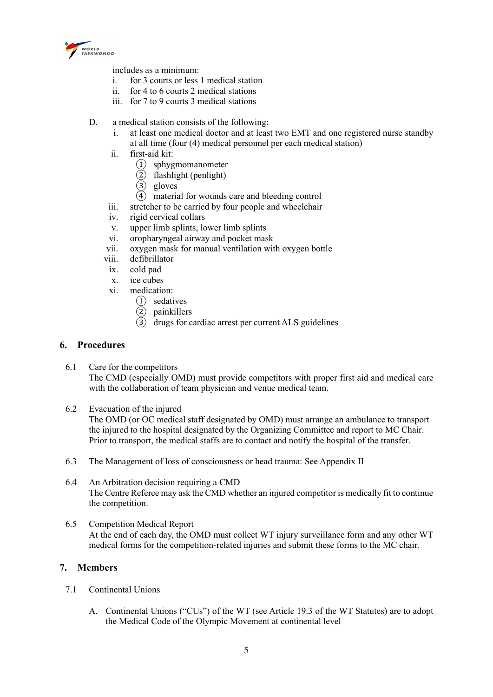

includes as a minimum:

- i. for 3 courts or less 1 medical station
- ii. for 4 to 6 courts 2 medical stations
- iii. for 7 to 9 courts 3 medical stations
- D. a medical station consists of the following:
	- i. at least one medical doctor and at least two EMT and one registered nurse standby at all time (four (4) medical personnel per each medical station)
	- ii. first-aid kit:
		- ① sphygmomanometer
		- ② flashlight (penlight)
		- ③ gloves
		- $\overline{4}$  material for wounds care and bleeding control
	- iii. stretcher to be carried by four people and wheelchair
	- iv. rigid cervical collars
	- v. upper limb splints, lower limb splints
	- vi. oropharyngeal airway and pocket mask
	- vii. oxygen mask for manual ventilation with oxygen bottle
	- viii. defibrillator
	- ix. cold pad
	- x. ice cubes
	- xi. medication:
		- ① sedatives
		- ② painkillers
		- $\overline{3}$  drugs for cardiac arrest per current ALS guidelines

#### 6. Procedures

- 6.1 Care for the competitors The CMD (especially OMD) must provide competitors with proper first aid and medical care with the collaboration of team physician and venue medical team.
- 6.2 Evacuation of the injured The OMD (or OC medical staff designated by OMD) must arrange an ambulance to transport the injured to the hospital designated by the Organizing Committee and report to MC Chair. Prior to transport, the medical staffs are to contact and notify the hospital of the transfer.
- 6.3 The Management of loss of consciousness or head trauma: See Appendix II
- 6.4 An Arbitration decision requiring a CMD The Centre Referee may ask the CMD whether an injured competitor is medically fit to continue the competition.
- 6.5 Competition Medical Report At the end of each day, the OMD must collect WT injury surveillance form and any other WT medical forms for the competition-related injuries and submit these forms to the MC chair.

# 7. Members

- 7.1 Continental Unions
	- A. Continental Unions ("CUs") of the WT (see Article 19.3 of the WT Statutes) are to adopt the Medical Code of the Olympic Movement at continental level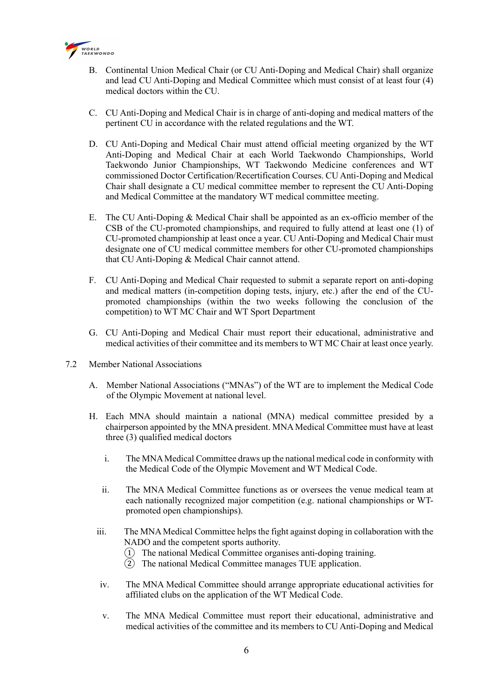

- B. Continental Union Medical Chair (or CU Anti-Doping and Medical Chair) shall organize and lead CU Anti-Doping and Medical Committee which must consist of at least four (4) medical doctors within the CU.
- C. CU Anti-Doping and Medical Chair is in charge of anti-doping and medical matters of the pertinent CU in accordance with the related regulations and the WT.
- D. CU Anti-Doping and Medical Chair must attend official meeting organized by the WT Anti-Doping and Medical Chair at each World Taekwondo Championships, World Taekwondo Junior Championships, WT Taekwondo Medicine conferences and WT commissioned Doctor Certification/Recertification Courses. CU Anti-Doping and Medical Chair shall designate a CU medical committee member to represent the CU Anti-Doping and Medical Committee at the mandatory WT medical committee meeting.
- E. The CU Anti-Doping & Medical Chair shall be appointed as an ex-officio member of the CSB of the CU-promoted championships, and required to fully attend at least one (1) of CU-promoted championship at least once a year. CU Anti-Doping and Medical Chair must designate one of CU medical committee members for other CU-promoted championships that CU Anti-Doping & Medical Chair cannot attend.
- F. CU Anti-Doping and Medical Chair requested to submit a separate report on anti-doping and medical matters (in-competition doping tests, injury, etc.) after the end of the CUpromoted championships (within the two weeks following the conclusion of the competition) to WT MC Chair and WT Sport Department
- G. CU Anti-Doping and Medical Chair must report their educational, administrative and medical activities of their committee and its members to WT MC Chair at least once yearly.
- 7.2 Member National Associations
	- A. Member National Associations ("MNAs") of the WT are to implement the Medical Code of the Olympic Movement at national level.
	- H. Each MNA should maintain a national (MNA) medical committee presided by a chairperson appointed by the MNA president. MNA Medical Committee must have at least three (3) qualified medical doctors
		- i. The MNA Medical Committee draws up the national medical code in conformity with the Medical Code of the Olympic Movement and WT Medical Code.
		- ii. The MNA Medical Committee functions as or oversees the venue medical team at each nationally recognized major competition (e.g. national championships or WTpromoted open championships).
		- iii. The MNA Medical Committee helps the fight against doping in collaboration with the NADO and the competent sports authority.
			- ① The national Medical Committee organises anti-doping training.
			- ② The national Medical Committee manages TUE application.
		- iv. The MNA Medical Committee should arrange appropriate educational activities for affiliated clubs on the application of the WT Medical Code.
		- v. The MNA Medical Committee must report their educational, administrative and medical activities of the committee and its members to CU Anti-Doping and Medical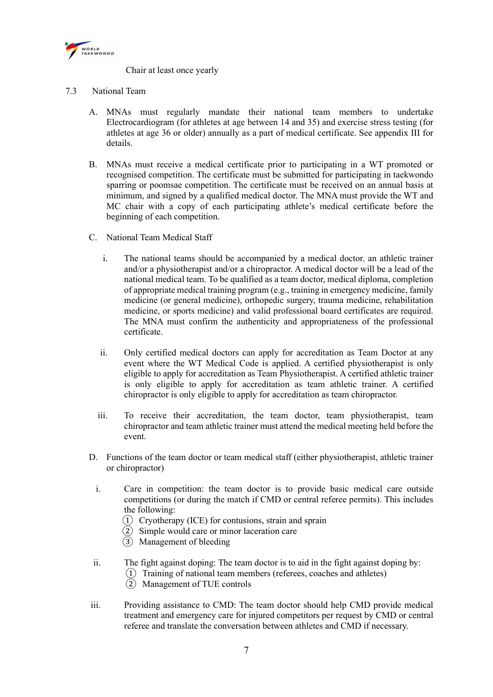

Chair at least once yearly

- 7.3 National Team
	- A. MNAs must regularly mandate their national team members to undertake Electrocardiogram (for athletes at age between 14 and 35) and exercise stress testing (for athletes at age 36 or older) annually as a part of medical certificate. See appendix III for details.
	- B. MNAs must receive a medical certificate prior to participating in a WT promoted or recognised competition. The certificate must be submitted for participating in taekwondo sparring or poomsae competition. The certificate must be received on an annual basis at minimum, and signed by a qualified medical doctor. The MNA must provide the WT and MC chair with a copy of each participating athlete's medical certificate before the beginning of each competition.
	- C. National Team Medical Staff
		- i. The national teams should be accompanied by a medical doctor, an athletic trainer and/or a physiotherapist and/or a chiropractor. A medical doctor will be a lead of the national medical team. To be qualified as a team doctor, medical diploma, completion of appropriate medical training program (e.g., training in emergency medicine, family medicine (or general medicine), orthopedic surgery, trauma medicine, rehabilitation medicine, or sports medicine) and valid professional board certificates are required. The MNA must confirm the authenticity and appropriateness of the professional certificate.
		- ii. Only certified medical doctors can apply for accreditation as Team Doctor at any event where the WT Medical Code is applied. A certified physiotherapist is only eligible to apply for accreditation as Team Physiotherapist. A certified athletic trainer is only eligible to apply for accreditation as team athletic trainer. A certified chiropractor is only eligible to apply for accreditation as team chiropractor.
		- iii. To receive their accreditation, the team doctor, team physiotherapist, team chiropractor and team athletic trainer must attend the medical meeting held before the event.
	- D. Functions of the team doctor or team medical staff (either physiotherapist, athletic trainer or chiropractor)
		- i. Care in competition: the team doctor is to provide basic medical care outside competitions (or during the match if CMD or central referee permits). This includes the following:
			- $\overline{1}$  Cryotherapy (ICE) for contusions, strain and sprain
			- ② Simple would care or minor laceration care
			- ③ Management of bleeding
	- ii. The fight against doping: The team doctor is to aid in the fight against doping by:
		- ① Training of national team members (referees, coaches and athletes)
		- ② Management of TUE controls
	- iii. Providing assistance to CMD: The team doctor should help CMD provide medical treatment and emergency care for injured competitors per request by CMD or central referee and translate the conversation between athletes and CMD if necessary.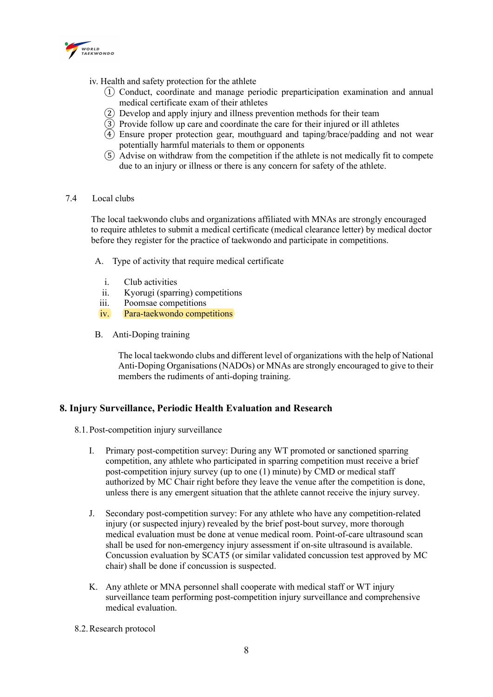

- iv. Health and safety protection for the athlete
	- ① Conduct, coordinate and manage periodic preparticipation examination and annual medical certificate exam of their athletes
	- ② Develop and apply injury and illness prevention methods for their team
	- ③ Provide follow up care and coordinate the care for their injured or ill athletes
	- $\widetilde{4}$ ) Ensure proper protection gear, mouthguard and taping/brace/padding and not wear potentially harmful materials to them or opponents
	- ⑤ Advise on withdraw from the competition if the athlete is not medically fit to compete due to an injury or illness or there is any concern for safety of the athlete.

#### 7.4 Local clubs

The local taekwondo clubs and organizations affiliated with MNAs are strongly encouraged to require athletes to submit a medical certificate (medical clearance letter) by medical doctor before they register for the practice of taekwondo and participate in competitions.

- A. Type of activity that require medical certificate
	- i. Club activities
	- ii. Kyorugi (sparring) competitions
	- iii. Poomsae competitions
	- iv. Para-taekwondo competitions
- B. Anti-Doping training

The local taekwondo clubs and different level of organizations with the help of National Anti-Doping Organisations (NADOs) or MNAs are strongly encouraged to give to their members the rudiments of anti-doping training.

# 8. Injury Surveillance, Periodic Health Evaluation and Research

- 8.1.Post-competition injury surveillance
	- I. Primary post-competition survey: During any WT promoted or sanctioned sparring competition, any athlete who participated in sparring competition must receive a brief post-competition injury survey (up to one (1) minute) by CMD or medical staff authorized by MC Chair right before they leave the venue after the competition is done, unless there is any emergent situation that the athlete cannot receive the injury survey.
	- J. Secondary post-competition survey: For any athlete who have any competition-related injury (or suspected injury) revealed by the brief post-bout survey, more thorough medical evaluation must be done at venue medical room. Point-of-care ultrasound scan shall be used for non-emergency injury assessment if on-site ultrasound is available. Concussion evaluation by SCAT5 (or similar validated concussion test approved by MC chair) shall be done if concussion is suspected.
	- K. Any athlete or MNA personnel shall cooperate with medical staff or WT injury surveillance team performing post-competition injury surveillance and comprehensive medical evaluation.
- 8.2.Research protocol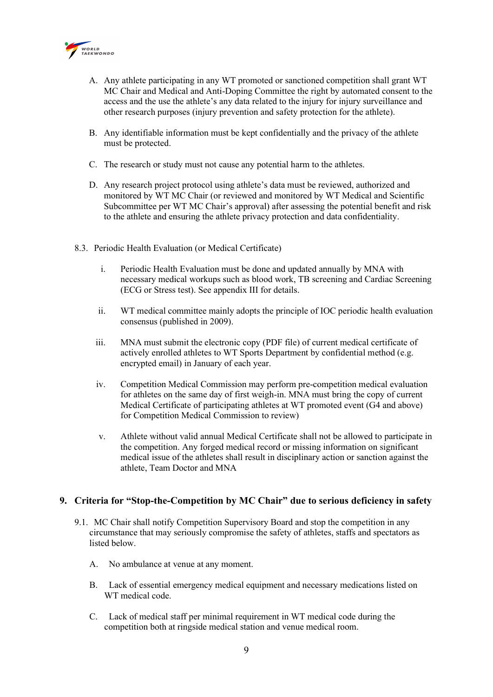

- A. Any athlete participating in any WT promoted or sanctioned competition shall grant WT MC Chair and Medical and Anti-Doping Committee the right by automated consent to the access and the use the athlete's any data related to the injury for injury surveillance and other research purposes (injury prevention and safety protection for the athlete).
- B. Any identifiable information must be kept confidentially and the privacy of the athlete must be protected.
- C. The research or study must not cause any potential harm to the athletes.
- D. Any research project protocol using athlete's data must be reviewed, authorized and monitored by WT MC Chair (or reviewed and monitored by WT Medical and Scientific Subcommittee per WT MC Chair's approval) after assessing the potential benefit and risk to the athlete and ensuring the athlete privacy protection and data confidentiality.
- 8.3. Periodic Health Evaluation (or Medical Certificate)
	- i. Periodic Health Evaluation must be done and updated annually by MNA with necessary medical workups such as blood work, TB screening and Cardiac Screening (ECG or Stress test). See appendix III for details.
	- ii. WT medical committee mainly adopts the principle of IOC periodic health evaluation consensus (published in 2009).
	- iii. MNA must submit the electronic copy (PDF file) of current medical certificate of actively enrolled athletes to WT Sports Department by confidential method (e.g. encrypted email) in January of each year.
	- iv. Competition Medical Commission may perform pre-competition medical evaluation for athletes on the same day of first weigh-in. MNA must bring the copy of current Medical Certificate of participating athletes at WT promoted event (G4 and above) for Competition Medical Commission to review)
	- v. Athlete without valid annual Medical Certificate shall not be allowed to participate in the competition. Any forged medical record or missing information on significant medical issue of the athletes shall result in disciplinary action or sanction against the athlete, Team Doctor and MNA

#### 9. Criteria for "Stop-the-Competition by MC Chair" due to serious deficiency in safety

- 9.1. MC Chair shall notify Competition Supervisory Board and stop the competition in any circumstance that may seriously compromise the safety of athletes, staffs and spectators as listed below.
	- A. No ambulance at venue at any moment.
	- B. Lack of essential emergency medical equipment and necessary medications listed on WT medical code.
	- C. Lack of medical staff per minimal requirement in WT medical code during the competition both at ringside medical station and venue medical room.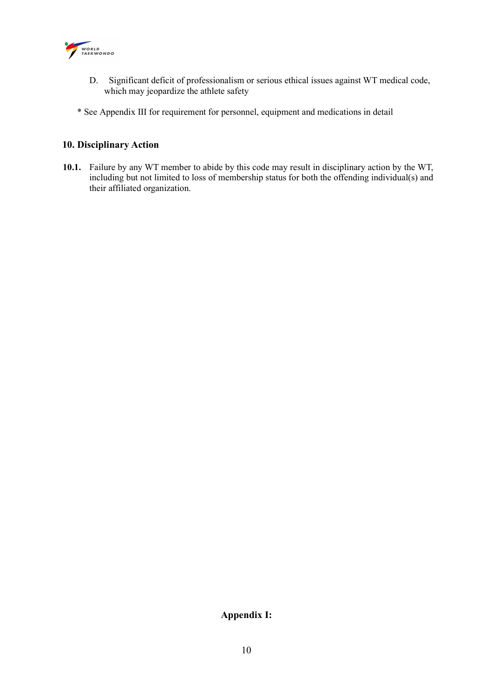

- D. Significant deficit of professionalism or serious ethical issues against WT medical code, which may jeopardize the athlete safety
- \* See Appendix III for requirement for personnel, equipment and medications in detail

# 10. Disciplinary Action

10.1. Failure by any WT member to abide by this code may result in disciplinary action by the WT, including but not limited to loss of membership status for both the offending individual(s) and their affiliated organization.

# Appendix I: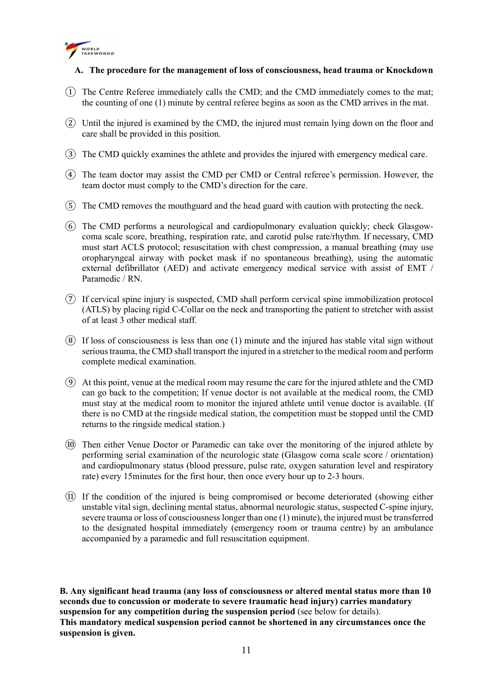

## A. The procedure for the management of loss of consciousness, head trauma or Knockdown

- ① The Centre Referee immediately calls the CMD; and the CMD immediately comes to the mat; the counting of one (1) minute by central referee begins as soon as the CMD arrives in the mat.
- ② Until the injured is examined by the CMD, the injured must remain lying down on the floor and care shall be provided in this position.
- ③ The CMD quickly examines the athlete and provides the injured with emergency medical care.
- ④ The team doctor may assist the CMD per CMD or Central referee's permission. However, the team doctor must comply to the CMD's direction for the care.
- ⑤ The CMD removes the mouthguard and the head guard with caution with protecting the neck.
- ⑥ The CMD performs a neurological and cardiopulmonary evaluation quickly; check Glasgowcoma scale score, breathing, respiration rate, and carotid pulse rate/rhythm. If necessary, CMD must start ACLS protocol; resuscitation with chest compression, a manual breathing (may use oropharyngeal airway with pocket mask if no spontaneous breathing), using the automatic external defibrillator (AED) and activate emergency medical service with assist of EMT / Paramedic / RN.
- ⑦ If cervical spine injury is suspected, CMD shall perform cervical spine immobilization protocol (ATLS) by placing rigid C-Collar on the neck and transporting the patient to stretcher with assist of at least 3 other medical staff.
- $\Omega$  If loss of consciousness is less than one (1) minute and the injured has stable vital sign without serious trauma, the CMD shall transport the injured in a stretcher to the medical room and perform complete medical examination.
- ⑨ At this point, venue at the medical room may resume the care for the injured athlete and the CMD can go back to the competition; If venue doctor is not available at the medical room, the CMD must stay at the medical room to monitor the injured athlete until venue doctor is available. (If there is no CMD at the ringside medical station, the competition must be stopped until the CMD returns to the ringside medical station.)
- ⑩ Then either Venue Doctor or Paramedic can take over the monitoring of the injured athlete by performing serial examination of the neurologic state (Glasgow coma scale score / orientation) and cardiopulmonary status (blood pressure, pulse rate, oxygen saturation level and respiratory rate) every 15minutes for the first hour, then once every hour up to 2-3 hours.
- ⑪ If the condition of the injured is being compromised or become deteriorated (showing either unstable vital sign, declining mental status, abnormal neurologic status, suspected C-spine injury, severe trauma or loss of consciousness longer than one (1) minute), the injured must be transferred to the designated hospital immediately (emergency room or trauma centre) by an ambulance accompanied by a paramedic and full resuscitation equipment.

B. Any significant head trauma (any loss of consciousness or altered mental status more than 10 seconds due to concussion or moderate to severe traumatic head injury) carries mandatory suspension for any competition during the suspension period (see below for details). This mandatory medical suspension period cannot be shortened in any circumstances once the suspension is given.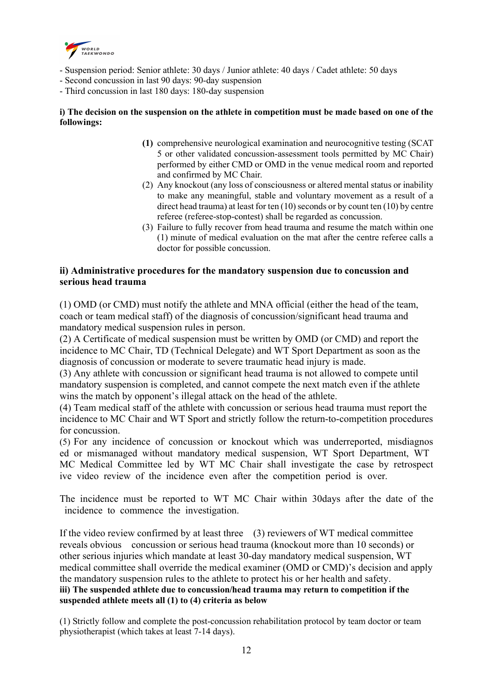

- Suspension period: Senior athlete: 30 days / Junior athlete: 40 days / Cadet athlete: 50 days
- Second concussion in last 90 days: 90-day suspension
- Third concussion in last 180 days: 180-day suspension

## i) The decision on the suspension on the athlete in competition must be made based on one of the followings:

- (1) comprehensive neurological examination and neurocognitive testing (SCAT 5 or other validated concussion-assessment tools permitted by MC Chair) performed by either CMD or OMD in the venue medical room and reported and confirmed by MC Chair.
- (2) Any knockout (any loss of consciousness or altered mental status or inability to make any meaningful, stable and voluntary movement as a result of a direct head trauma) at least for ten (10) seconds or by count ten (10) by centre referee (referee-stop-contest) shall be regarded as concussion.
- (3) Failure to fully recover from head trauma and resume the match within one (1) minute of medical evaluation on the mat after the centre referee calls a doctor for possible concussion.

# ii) Administrative procedures for the mandatory suspension due to concussion and serious head trauma

(1) OMD (or CMD) must notify the athlete and MNA official (either the head of the team, coach or team medical staff) of the diagnosis of concussion/significant head trauma and mandatory medical suspension rules in person.

(2) A Certificate of medical suspension must be written by OMD (or CMD) and report the incidence to MC Chair, TD (Technical Delegate) and WT Sport Department as soon as the diagnosis of concussion or moderate to severe traumatic head injury is made.

(3) Any athlete with concussion or significant head trauma is not allowed to compete until mandatory suspension is completed, and cannot compete the next match even if the athlete wins the match by opponent's illegal attack on the head of the athlete.

(4) Team medical staff of the athlete with concussion or serious head trauma must report the incidence to MC Chair and WT Sport and strictly follow the return-to-competition procedures for concussion.

(5) For any incidence of concussion or knockout which was underreported, misdiagnos ed or mismanaged without mandatory medical suspension, WT Sport Department, WT MC Medical Committee led by WT MC Chair shall investigate the case by retrospect ive video review of the incidence even after the competition period is over.

The incidence must be reported to WT MC Chair within 30days after the date of the incidence to commence the investigation.

If the video review confirmed by at least three (3) reviewers of WT medical committee reveals obvious concussion or serious head trauma (knockout more than 10 seconds) or other serious injuries which mandate at least 30-day mandatory medical suspension, WT medical committee shall override the medical examiner (OMD or CMD)'s decision and apply the mandatory suspension rules to the athlete to protect his or her health and safety. iii) The suspended athlete due to concussion/head trauma may return to competition if the suspended athlete meets all (1) to (4) criteria as below

(1) Strictly follow and complete the post-concussion rehabilitation protocol by team doctor or team physiotherapist (which takes at least 7-14 days).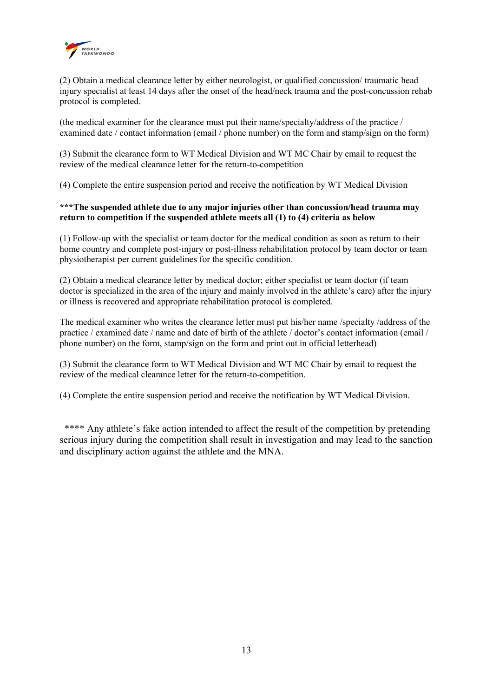

(2) Obtain a medical clearance letter by either neurologist, or qualified concussion/ traumatic head injury specialist at least 14 days after the onset of the head/neck trauma and the post-concussion rehab protocol is completed.

(the medical examiner for the clearance must put their name/specialty/address of the practice / examined date / contact information (email / phone number) on the form and stamp/sign on the form)

(3) Submit the clearance form to WT Medical Division and WT MC Chair by email to request the review of the medical clearance letter for the return-to-competition

(4) Complete the entire suspension period and receive the notification by WT Medical Division

#### \*\*\*The suspended athlete due to any major injuries other than concussion/head trauma may return to competition if the suspended athlete meets all (1) to (4) criteria as below

(1) Follow-up with the specialist or team doctor for the medical condition as soon as return to their home country and complete post-injury or post-illness rehabilitation protocol by team doctor or team physiotherapist per current guidelines for the specific condition.

(2) Obtain a medical clearance letter by medical doctor; either specialist or team doctor (if team doctor is specialized in the area of the injury and mainly involved in the athlete's care) after the injury or illness is recovered and appropriate rehabilitation protocol is completed.

The medical examiner who writes the clearance letter must put his/her name /specialty /address of the practice / examined date / name and date of birth of the athlete / doctor's contact information (email / phone number) on the form, stamp/sign on the form and print out in official letterhead)

(3) Submit the clearance form to WT Medical Division and WT MC Chair by email to request the review of the medical clearance letter for the return-to-competition.

(4) Complete the entire suspension period and receive the notification by WT Medical Division.

\*\*\*\* Any athlete's fake action intended to affect the result of the competition by pretending serious injury during the competition shall result in investigation and may lead to the sanction and disciplinary action against the athlete and the MNA.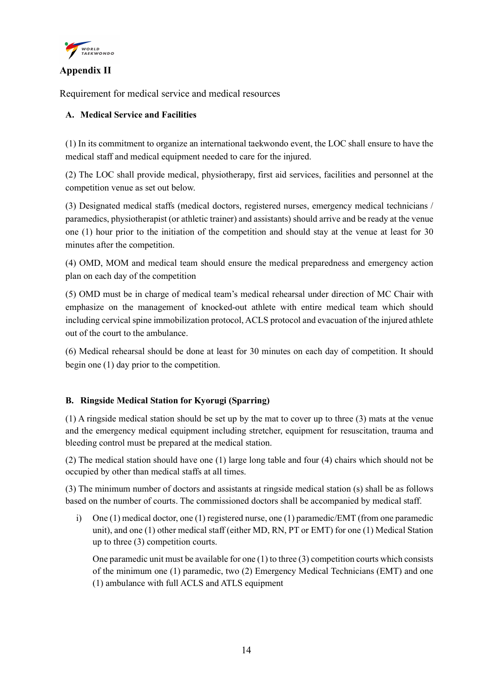

# Appendix II

Requirement for medical service and medical resources

# A. Medical Service and Facilities

(1) In its commitment to organize an international taekwondo event, the LOC shall ensure to have the medical staff and medical equipment needed to care for the injured.

(2) The LOC shall provide medical, physiotherapy, first aid services, facilities and personnel at the competition venue as set out below.

(3) Designated medical staffs (medical doctors, registered nurses, emergency medical technicians / paramedics, physiotherapist (or athletic trainer) and assistants) should arrive and be ready at the venue one (1) hour prior to the initiation of the competition and should stay at the venue at least for 30 minutes after the competition.

(4) OMD, MOM and medical team should ensure the medical preparedness and emergency action plan on each day of the competition

(5) OMD must be in charge of medical team's medical rehearsal under direction of MC Chair with emphasize on the management of knocked-out athlete with entire medical team which should including cervical spine immobilization protocol, ACLS protocol and evacuation of the injured athlete out of the court to the ambulance.

(6) Medical rehearsal should be done at least for 30 minutes on each day of competition. It should begin one (1) day prior to the competition.

# B. Ringside Medical Station for Kyorugi (Sparring)

(1) A ringside medical station should be set up by the mat to cover up to three (3) mats at the venue and the emergency medical equipment including stretcher, equipment for resuscitation, trauma and bleeding control must be prepared at the medical station.

(2) The medical station should have one (1) large long table and four (4) chairs which should not be occupied by other than medical staffs at all times.

(3) The minimum number of doctors and assistants at ringside medical station (s) shall be as follows based on the number of courts. The commissioned doctors shall be accompanied by medical staff.

i) One (1) medical doctor, one (1) registered nurse, one (1) paramedic/EMT (from one paramedic unit), and one (1) other medical staff (either MD, RN, PT or EMT) for one (1) Medical Station up to three (3) competition courts.

One paramedic unit must be available for one (1) to three (3) competition courts which consists of the minimum one (1) paramedic, two (2) Emergency Medical Technicians (EMT) and one (1) ambulance with full ACLS and ATLS equipment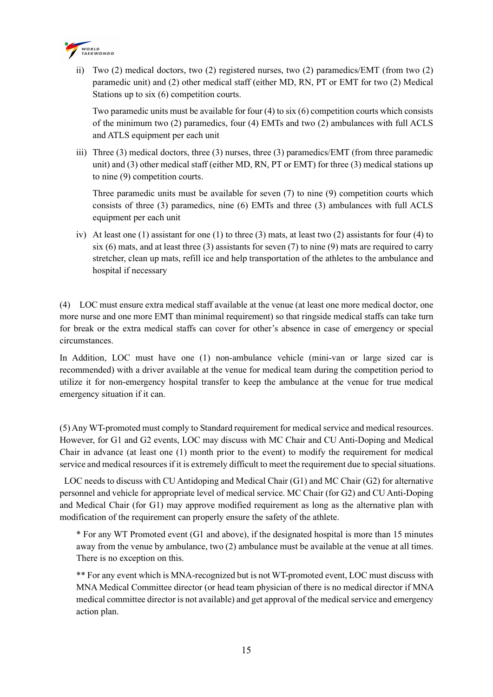

ii) Two (2) medical doctors, two (2) registered nurses, two (2) paramedics/EMT (from two (2) paramedic unit) and (2) other medical staff (either MD, RN, PT or EMT for two (2) Medical Stations up to six (6) competition courts.

Two paramedic units must be available for four (4) to six (6) competition courts which consists of the minimum two (2) paramedics, four (4) EMTs and two (2) ambulances with full ACLS and ATLS equipment per each unit

iii) Three (3) medical doctors, three (3) nurses, three (3) paramedics/EMT (from three paramedic unit) and (3) other medical staff (either MD, RN, PT or EMT) for three (3) medical stations up to nine (9) competition courts.

Three paramedic units must be available for seven (7) to nine (9) competition courts which consists of three (3) paramedics, nine (6) EMTs and three (3) ambulances with full ACLS equipment per each unit

iv) At least one (1) assistant for one (1) to three (3) mats, at least two (2) assistants for four (4) to six (6) mats, and at least three (3) assistants for seven (7) to nine (9) mats are required to carry stretcher, clean up mats, refill ice and help transportation of the athletes to the ambulance and hospital if necessary

(4) LOC must ensure extra medical staff available at the venue (at least one more medical doctor, one more nurse and one more EMT than minimal requirement) so that ringside medical staffs can take turn for break or the extra medical staffs can cover for other's absence in case of emergency or special circumstances.

In Addition, LOC must have one (1) non-ambulance vehicle (mini-van or large sized car is recommended) with a driver available at the venue for medical team during the competition period to utilize it for non-emergency hospital transfer to keep the ambulance at the venue for true medical emergency situation if it can.

(5) Any WT-promoted must comply to Standard requirement for medical service and medical resources. However, for G1 and G2 events, LOC may discuss with MC Chair and CU Anti-Doping and Medical Chair in advance (at least one (1) month prior to the event) to modify the requirement for medical service and medical resources if it is extremely difficult to meet the requirement due to special situations.

 LOC needs to discuss with CU Antidoping and Medical Chair (G1) and MC Chair (G2) for alternative personnel and vehicle for appropriate level of medical service. MC Chair (for G2) and CU Anti-Doping and Medical Chair (for G1) may approve modified requirement as long as the alternative plan with modification of the requirement can properly ensure the safety of the athlete.

\* For any WT Promoted event (G1 and above), if the designated hospital is more than 15 minutes away from the venue by ambulance, two (2) ambulance must be available at the venue at all times. There is no exception on this.

\*\* For any event which is MNA-recognized but is not WT-promoted event, LOC must discuss with MNA Medical Committee director (or head team physician of there is no medical director if MNA medical committee director is not available) and get approval of the medical service and emergency action plan.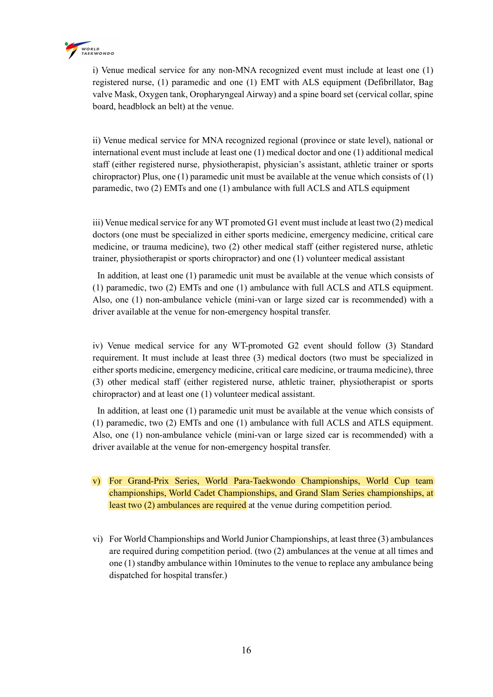

i) Venue medical service for any non-MNA recognized event must include at least one (1) registered nurse, (1) paramedic and one (1) EMT with ALS equipment (Defibrillator, Bag valve Mask, Oxygen tank, Oropharyngeal Airway) and a spine board set (cervical collar, spine board, headblock an belt) at the venue.

ii) Venue medical service for MNA recognized regional (province or state level), national or international event must include at least one (1) medical doctor and one (1) additional medical staff (either registered nurse, physiotherapist, physician's assistant, athletic trainer or sports chiropractor) Plus, one (1) paramedic unit must be available at the venue which consists of (1) paramedic, two (2) EMTs and one (1) ambulance with full ACLS and ATLS equipment

iii) Venue medical service for any WT promoted G1 event must include at least two (2) medical doctors (one must be specialized in either sports medicine, emergency medicine, critical care medicine, or trauma medicine), two (2) other medical staff (either registered nurse, athletic trainer, physiotherapist or sports chiropractor) and one (1) volunteer medical assistant

 In addition, at least one (1) paramedic unit must be available at the venue which consists of (1) paramedic, two (2) EMTs and one (1) ambulance with full ACLS and ATLS equipment. Also, one (1) non-ambulance vehicle (mini-van or large sized car is recommended) with a driver available at the venue for non-emergency hospital transfer.

iv) Venue medical service for any WT-promoted G2 event should follow (3) Standard requirement. It must include at least three (3) medical doctors (two must be specialized in either sports medicine, emergency medicine, critical care medicine, or trauma medicine), three (3) other medical staff (either registered nurse, athletic trainer, physiotherapist or sports chiropractor) and at least one (1) volunteer medical assistant.

 In addition, at least one (1) paramedic unit must be available at the venue which consists of (1) paramedic, two (2) EMTs and one (1) ambulance with full ACLS and ATLS equipment. Also, one (1) non-ambulance vehicle (mini-van or large sized car is recommended) with a driver available at the venue for non-emergency hospital transfer.

- v) For Grand-Prix Series, World Para-Taekwondo Championships, World Cup team championships, World Cadet Championships, and Grand Slam Series championships, at least two (2) ambulances are required at the venue during competition period.
- vi) For World Championships and World Junior Championships, at least three (3) ambulances are required during competition period. (two (2) ambulances at the venue at all times and one (1) standby ambulance within 10minutes to the venue to replace any ambulance being dispatched for hospital transfer.)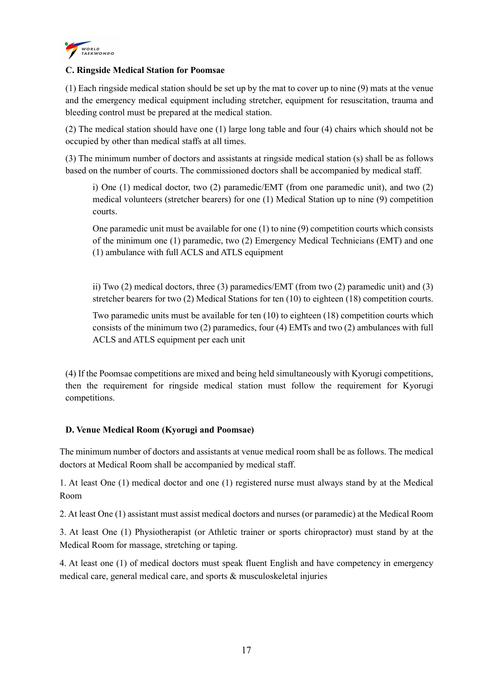

## C. Ringside Medical Station for Poomsae

(1) Each ringside medical station should be set up by the mat to cover up to nine (9) mats at the venue and the emergency medical equipment including stretcher, equipment for resuscitation, trauma and bleeding control must be prepared at the medical station.

(2) The medical station should have one (1) large long table and four (4) chairs which should not be occupied by other than medical staffs at all times.

(3) The minimum number of doctors and assistants at ringside medical station (s) shall be as follows based on the number of courts. The commissioned doctors shall be accompanied by medical staff.

i) One (1) medical doctor, two (2) paramedic/EMT (from one paramedic unit), and two (2) medical volunteers (stretcher bearers) for one (1) Medical Station up to nine (9) competition courts.

One paramedic unit must be available for one  $(1)$  to nine  $(9)$  competition courts which consists of the minimum one (1) paramedic, two (2) Emergency Medical Technicians (EMT) and one (1) ambulance with full ACLS and ATLS equipment

ii) Two (2) medical doctors, three (3) paramedics/EMT (from two (2) paramedic unit) and (3) stretcher bearers for two (2) Medical Stations for ten (10) to eighteen (18) competition courts.

Two paramedic units must be available for ten (10) to eighteen (18) competition courts which consists of the minimum two (2) paramedics, four (4) EMTs and two (2) ambulances with full ACLS and ATLS equipment per each unit

(4) If the Poomsae competitions are mixed and being held simultaneously with Kyorugi competitions, then the requirement for ringside medical station must follow the requirement for Kyorugi competitions.

# D. Venue Medical Room (Kyorugi and Poomsae)

The minimum number of doctors and assistants at venue medical room shall be as follows. The medical doctors at Medical Room shall be accompanied by medical staff.

1. At least One (1) medical doctor and one (1) registered nurse must always stand by at the Medical Room

2. At least One (1) assistant must assist medical doctors and nurses (or paramedic) at the Medical Room

3. At least One (1) Physiotherapist (or Athletic trainer or sports chiropractor) must stand by at the Medical Room for massage, stretching or taping.

4. At least one (1) of medical doctors must speak fluent English and have competency in emergency medical care, general medical care, and sports & musculoskeletal injuries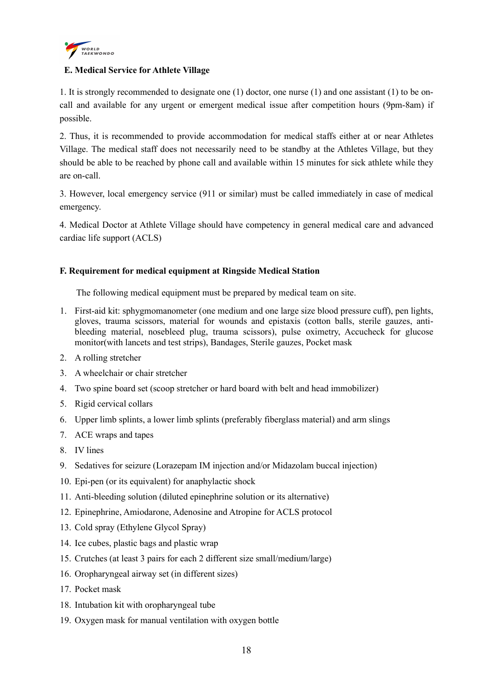

# E. Medical Service for Athlete Village

1. It is strongly recommended to designate one (1) doctor, one nurse (1) and one assistant (1) to be oncall and available for any urgent or emergent medical issue after competition hours (9pm-8am) if possible.

2. Thus, it is recommended to provide accommodation for medical staffs either at or near Athletes Village. The medical staff does not necessarily need to be standby at the Athletes Village, but they should be able to be reached by phone call and available within 15 minutes for sick athlete while they are on-call.

3. However, local emergency service (911 or similar) must be called immediately in case of medical emergency.

4. Medical Doctor at Athlete Village should have competency in general medical care and advanced cardiac life support (ACLS)

#### F. Requirement for medical equipment at Ringside Medical Station

The following medical equipment must be prepared by medical team on site.

- 1. First-aid kit: sphygmomanometer (one medium and one large size blood pressure cuff), pen lights, gloves, trauma scissors, material for wounds and epistaxis (cotton balls, sterile gauzes, antibleeding material, nosebleed plug, trauma scissors), pulse oximetry, Accucheck for glucose monitor(with lancets and test strips), Bandages, Sterile gauzes, Pocket mask
- 2. A rolling stretcher
- 3. A wheelchair or chair stretcher
- 4. Two spine board set (scoop stretcher or hard board with belt and head immobilizer)
- 5. Rigid cervical collars
- 6. Upper limb splints, a lower limb splints (preferably fiberglass material) and arm slings
- 7. ACE wraps and tapes
- 8. IV lines
- 9. Sedatives for seizure (Lorazepam IM injection and/or Midazolam buccal injection)
- 10. Epi-pen (or its equivalent) for anaphylactic shock
- 11. Anti-bleeding solution (diluted epinephrine solution or its alternative)
- 12. Epinephrine, Amiodarone, Adenosine and Atropine for ACLS protocol
- 13. Cold spray (Ethylene Glycol Spray)
- 14. Ice cubes, plastic bags and plastic wrap
- 15. Crutches (at least 3 pairs for each 2 different size small/medium/large)
- 16. Oropharyngeal airway set (in different sizes)
- 17. Pocket mask
- 18. Intubation kit with oropharyngeal tube
- 19. Oxygen mask for manual ventilation with oxygen bottle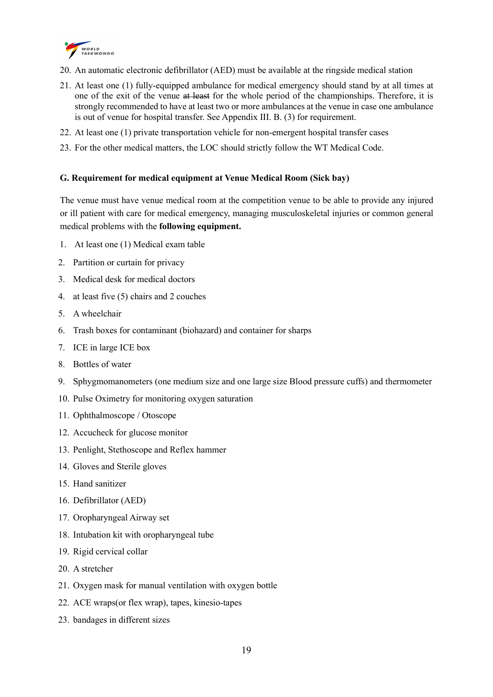

- 20. An automatic electronic defibrillator (AED) must be available at the ringside medical station
- 21. At least one (1) fully-equipped ambulance for medical emergency should stand by at all times at one of the exit of the venue at least for the whole period of the championships. Therefore, it is strongly recommended to have at least two or more ambulances at the venue in case one ambulance is out of venue for hospital transfer. See Appendix III. B. (3) for requirement.
- 22. At least one (1) private transportation vehicle for non-emergent hospital transfer cases
- 23. For the other medical matters, the LOC should strictly follow the WT Medical Code.

#### G. Requirement for medical equipment at Venue Medical Room (Sick bay)

The venue must have venue medical room at the competition venue to be able to provide any injured or ill patient with care for medical emergency, managing musculoskeletal injuries or common general medical problems with the following equipment.

- 1. At least one (1) Medical exam table
- 2. Partition or curtain for privacy
- 3. Medical desk for medical doctors
- 4. at least five (5) chairs and 2 couches
- 5. A wheelchair
- 6. Trash boxes for contaminant (biohazard) and container for sharps
- 7. ICE in large ICE box
- 8. Bottles of water
- 9. Sphygmomanometers (one medium size and one large size Blood pressure cuffs) and thermometer
- 10. Pulse Oximetry for monitoring oxygen saturation
- 11. Ophthalmoscope / Otoscope
- 12. Accucheck for glucose monitor
- 13. Penlight, Stethoscope and Reflex hammer
- 14. Gloves and Sterile gloves
- 15. Hand sanitizer
- 16. Defibrillator (AED)
- 17. Oropharyngeal Airway set
- 18. Intubation kit with oropharyngeal tube
- 19. Rigid cervical collar
- 20. A stretcher
- 21. Oxygen mask for manual ventilation with oxygen bottle
- 22. ACE wraps(or flex wrap), tapes, kinesio-tapes
- 23. bandages in different sizes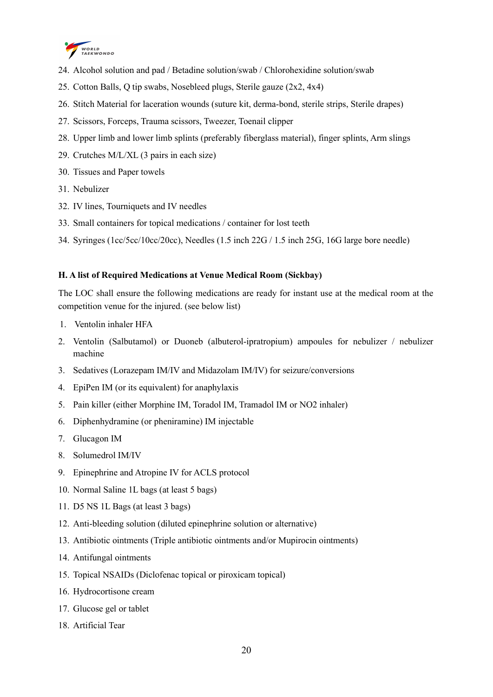

- 24. Alcohol solution and pad / Betadine solution/swab / Chlorohexidine solution/swab
- 25. Cotton Balls, Q tip swabs, Nosebleed plugs, Sterile gauze (2x2, 4x4)
- 26. Stitch Material for laceration wounds (suture kit, derma-bond, sterile strips, Sterile drapes)
- 27. Scissors, Forceps, Trauma scissors, Tweezer, Toenail clipper
- 28. Upper limb and lower limb splints (preferably fiberglass material), finger splints, Arm slings
- 29. Crutches M/L/XL (3 pairs in each size)
- 30. Tissues and Paper towels
- 31. Nebulizer
- 32. IV lines, Tourniquets and IV needles
- 33. Small containers for topical medications / container for lost teeth
- 34. Syringes (1cc/5cc/10cc/20cc), Needles (1.5 inch 22G / 1.5 inch 25G, 16G large bore needle)

#### H. A list of Required Medications at Venue Medical Room (Sickbay)

The LOC shall ensure the following medications are ready for instant use at the medical room at the competition venue for the injured. (see below list)

- 1. Ventolin inhaler HFA
- 2. Ventolin (Salbutamol) or Duoneb (albuterol-ipratropium) ampoules for nebulizer / nebulizer machine
- 3. Sedatives (Lorazepam IM/IV and Midazolam IM/IV) for seizure/conversions
- 4. EpiPen IM (or its equivalent) for anaphylaxis
- 5. Pain killer (either Morphine IM, Toradol IM, Tramadol IM or NO2 inhaler)
- 6. Diphenhydramine (or pheniramine) IM injectable
- 7. Glucagon IM
- 8. Solumedrol IM/IV
- 9. Epinephrine and Atropine IV for ACLS protocol
- 10. Normal Saline 1L bags (at least 5 bags)
- 11. D5 NS 1L Bags (at least 3 bags)
- 12. Anti-bleeding solution (diluted epinephrine solution or alternative)
- 13. Antibiotic ointments (Triple antibiotic ointments and/or Mupirocin ointments)
- 14. Antifungal ointments
- 15. Topical NSAIDs (Diclofenac topical or piroxicam topical)
- 16. Hydrocortisone cream
- 17. Glucose gel or tablet
- 18. Artificial Tear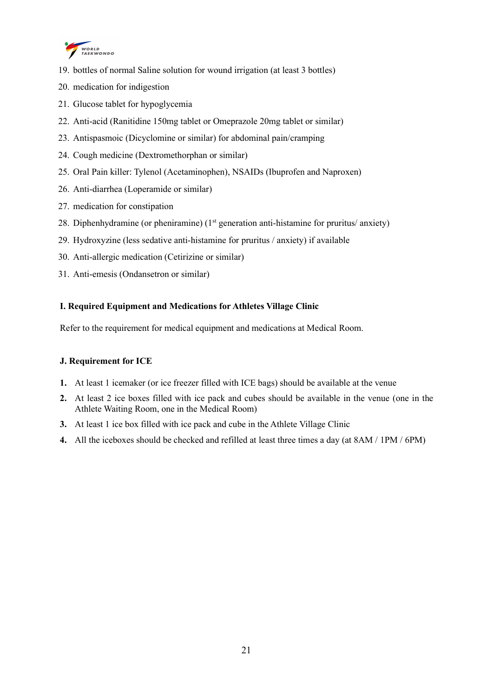

- 19. bottles of normal Saline solution for wound irrigation (at least 3 bottles)
- 20. medication for indigestion
- 21. Glucose tablet for hypoglycemia
- 22. Anti-acid (Ranitidine 150mg tablet or Omeprazole 20mg tablet or similar)
- 23. Antispasmoic (Dicyclomine or similar) for abdominal pain/cramping
- 24. Cough medicine (Dextromethorphan or similar)
- 25. Oral Pain killer: Tylenol (Acetaminophen), NSAIDs (Ibuprofen and Naproxen)
- 26. Anti-diarrhea (Loperamide or similar)
- 27. medication for constipation
- 28. Diphenhydramine (or pheniramine)  $(1<sup>st</sup>$  generation anti-histamine for pruritus/ anxiety)
- 29. Hydroxyzine (less sedative anti-histamine for pruritus / anxiety) if available
- 30. Anti-allergic medication (Cetirizine or similar)
- 31. Anti-emesis (Ondansetron or similar)

# I. Required Equipment and Medications for Athletes Village Clinic

Refer to the requirement for medical equipment and medications at Medical Room.

# J. Requirement for ICE

- 1. At least 1 icemaker (or ice freezer filled with ICE bags) should be available at the venue
- 2. At least 2 ice boxes filled with ice pack and cubes should be available in the venue (one in the Athlete Waiting Room, one in the Medical Room)
- 3. At least 1 ice box filled with ice pack and cube in the Athlete Village Clinic
- 4. All the iceboxes should be checked and refilled at least three times a day (at 8AM / 1PM / 6PM)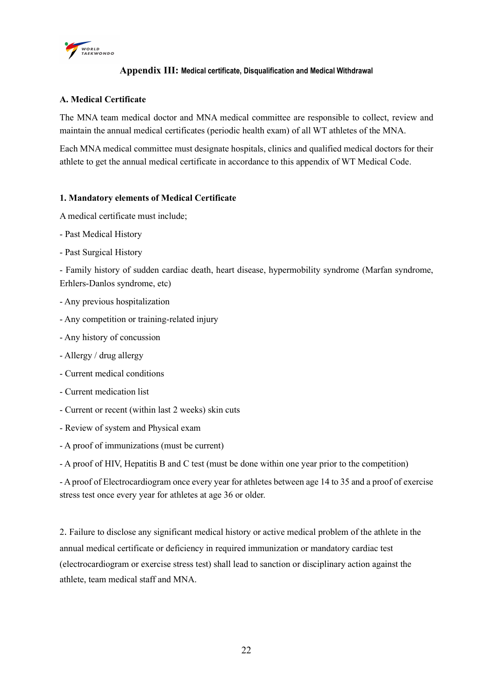

# Appendix III: Medical certificate, Disqualification and Medical Withdrawal

## A. Medical Certificate

The MNA team medical doctor and MNA medical committee are responsible to collect, review and maintain the annual medical certificates (periodic health exam) of all WT athletes of the MNA.

Each MNA medical committee must designate hospitals, clinics and qualified medical doctors for their athlete to get the annual medical certificate in accordance to this appendix of WT Medical Code.

#### 1. Mandatory elements of Medical Certificate

A medical certificate must include;

- Past Medical History
- Past Surgical History

- Family history of sudden cardiac death, heart disease, hypermobility syndrome (Marfan syndrome, Erhlers-Danlos syndrome, etc)

- Any previous hospitalization
- Any competition or training-related injury
- Any history of concussion
- Allergy / drug allergy
- Current medical conditions
- Current medication list
- Current or recent (within last 2 weeks) skin cuts
- Review of system and Physical exam
- A proof of immunizations (must be current)

- A proof of HIV, Hepatitis B and C test (must be done within one year prior to the competition)

- A proof of Electrocardiogram once every year for athletes between age 14 to 35 and a proof of exercise stress test once every year for athletes at age 36 or older.

2. Failure to disclose any significant medical history or active medical problem of the athlete in the annual medical certificate or deficiency in required immunization or mandatory cardiac test (electrocardiogram or exercise stress test) shall lead to sanction or disciplinary action against the athlete, team medical staff and MNA.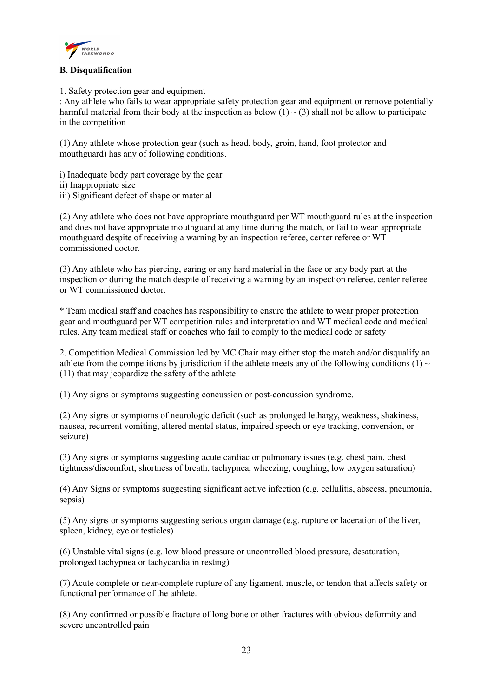

# B. Disqualification

1. Safety protection gear and equipment

: Any athlete who fails to wear appropriate safety protection gear and equipment or remove potentially harmful material from their body at the inspection as below  $(1) \sim (3)$  shall not be allow to participate in the competition

(1) Any athlete whose protection gear (such as head, body, groin, hand, foot protector and mouthguard) has any of following conditions.

i) Inadequate body part coverage by the gear ii) Inappropriate size iii) Significant defect of shape or material

(2) Any athlete who does not have appropriate mouthguard per WT mouthguard rules at the inspection and does not have appropriate mouthguard at any time during the match, or fail to wear appropriate mouthguard despite of receiving a warning by an inspection referee, center referee or WT commissioned doctor.

(3) Any athlete who has piercing, earing or any hard material in the face or any body part at the inspection or during the match despite of receiving a warning by an inspection referee, center referee or WT commissioned doctor.

\* Team medical staff and coaches has responsibility to ensure the athlete to wear proper protection gear and mouthguard per WT competition rules and interpretation and WT medical code and medical rules. Any team medical staff or coaches who fail to comply to the medical code or safety

2. Competition Medical Commission led by MC Chair may either stop the match and/or disqualify an athlete from the competitions by jurisdiction if the athlete meets any of the following conditions  $(1) \sim$ (11) that may jeopardize the safety of the athlete

(1) Any signs or symptoms suggesting concussion or post-concussion syndrome.

(2) Any signs or symptoms of neurologic deficit (such as prolonged lethargy, weakness, shakiness, nausea, recurrent vomiting, altered mental status, impaired speech or eye tracking, conversion, or seizure)

(3) Any signs or symptoms suggesting acute cardiac or pulmonary issues (e.g. chest pain, chest tightness/discomfort, shortness of breath, tachypnea, wheezing, coughing, low oxygen saturation)

(4) Any Signs or symptoms suggesting significant active infection (e.g. cellulitis, abscess, pneumonia, sepsis)

(5) Any signs or symptoms suggesting serious organ damage (e.g. rupture or laceration of the liver, spleen, kidney, eye or testicles)

(6) Unstable vital signs (e.g. low blood pressure or uncontrolled blood pressure, desaturation, prolonged tachypnea or tachycardia in resting)

(7) Acute complete or near-complete rupture of any ligament, muscle, or tendon that affects safety or functional performance of the athlete.

(8) Any confirmed or possible fracture of long bone or other fractures with obvious deformity and severe uncontrolled pain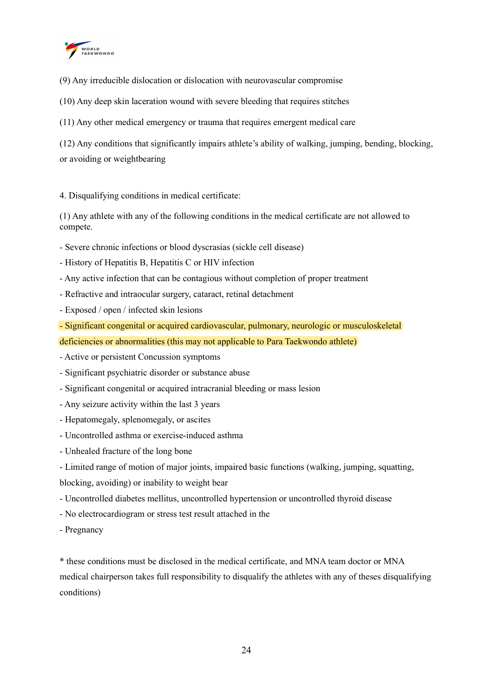

(9) Any irreducible dislocation or dislocation with neurovascular compromise

(10) Any deep skin laceration wound with severe bleeding that requires stitches

(11) Any other medical emergency or trauma that requires emergent medical care

(12) Any conditions that significantly impairs athlete's ability of walking, jumping, bending, blocking, or avoiding or weightbearing

4. Disqualifying conditions in medical certificate:

(1) Any athlete with any of the following conditions in the medical certificate are not allowed to compete.

- Severe chronic infections or blood dyscrasias (sickle cell disease)
- History of Hepatitis B, Hepatitis C or HIV infection
- Any active infection that can be contagious without completion of proper treatment
- Refractive and intraocular surgery, cataract, retinal detachment
- Exposed / open / infected skin lesions
- Significant congenital or acquired cardiovascular, pulmonary, neurologic or musculoskeletal
- deficiencies or abnormalities (this may not applicable to Para Taekwondo athlete)
- Active or persistent Concussion symptoms
- Significant psychiatric disorder or substance abuse
- Significant congenital or acquired intracranial bleeding or mass lesion
- Any seizure activity within the last 3 years
- Hepatomegaly, splenomegaly, or ascites
- Uncontrolled asthma or exercise-induced asthma
- Unhealed fracture of the long bone
- Limited range of motion of major joints, impaired basic functions (walking, jumping, squatting,

blocking, avoiding) or inability to weight bear

- Uncontrolled diabetes mellitus, uncontrolled hypertension or uncontrolled thyroid disease
- No electrocardiogram or stress test result attached in the
- Pregnancy

\* these conditions must be disclosed in the medical certificate, and MNA team doctor or MNA medical chairperson takes full responsibility to disqualify the athletes with any of theses disqualifying conditions)